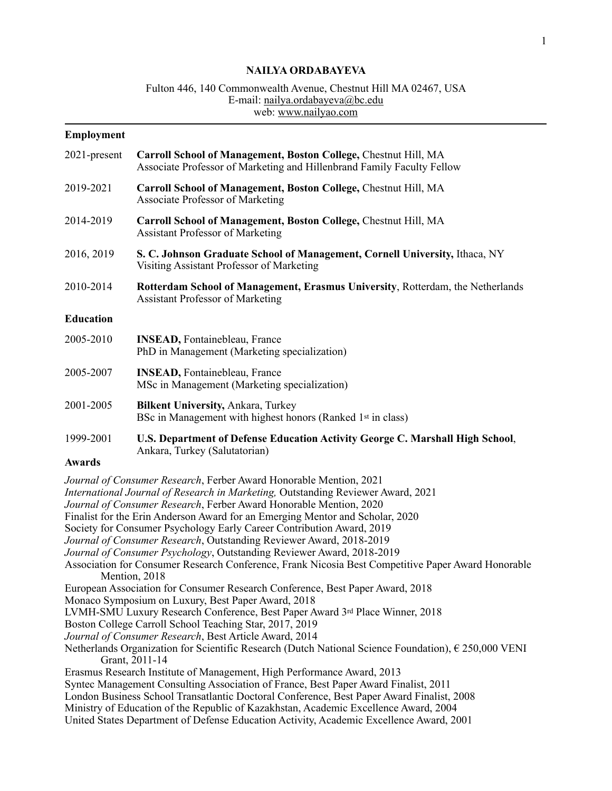## **NAILYA ORDABAYEVA**

# Fulton 446, 140 Commonwealth Avenue, Chestnut Hill MA 02467, USA E-mail: [nailya.ordabayeva@bc.edu](mailto:nailya.ordabayeva@bc.edu) web: [www.nailyao.com](http://www.nailyao.com)

#### **Employment**

| 2021-present     | Carroll School of Management, Boston College, Chestnut Hill, MA<br>Associate Professor of Marketing and Hillenbrand Family Faculty Fellow |
|------------------|-------------------------------------------------------------------------------------------------------------------------------------------|
| 2019-2021        | Carroll School of Management, Boston College, Chestnut Hill, MA<br><b>Associate Professor of Marketing</b>                                |
| 2014-2019        | Carroll School of Management, Boston College, Chestnut Hill, MA<br><b>Assistant Professor of Marketing</b>                                |
| 2016, 2019       | S. C. Johnson Graduate School of Management, Cornell University, Ithaca, NY<br>Visiting Assistant Professor of Marketing                  |
| 2010-2014        | <b>Rotterdam School of Management, Erasmus University, Rotterdam, the Netherlands</b><br><b>Assistant Professor of Marketing</b>          |
| <b>Education</b> |                                                                                                                                           |
| 2005-2010        | <b>INSEAD, Fontainebleau, France</b><br>PhD in Management (Marketing specialization)                                                      |
| 2005-2007        | <b>INSEAD, Fontainebleau, France</b><br>MSc in Management (Marketing specialization)                                                      |
| 2001-2005        | <b>Bilkent University, Ankara, Turkey</b><br>BSc in Management with highest honors (Ranked 1 <sup>st</sup> in class)                      |
| 1999-2001        | U.S. Department of Defense Education Activity George C. Marshall High School,<br>Ankara, Turkey (Salutatorian)                            |

# **Awards**

*Journal of Consumer Research*, Ferber Award Honorable Mention, 2021 *International Journal of Research in Marketing,* Outstanding Reviewer Award, 2021 *Journal of Consumer Research*, Ferber Award Honorable Mention, 2020 Finalist for the Erin Anderson Award for an Emerging Mentor and Scholar, 2020 Society for Consumer Psychology Early Career Contribution Award, 2019 *Journal of Consumer Research*, Outstanding Reviewer Award, 2018-2019 *Journal of Consumer Psychology*, Outstanding Reviewer Award, 2018-2019 Association for Consumer Research Conference, Frank Nicosia Best Competitive Paper Award Honorable Mention, 2018 European Association for Consumer Research Conference, Best Paper Award, 2018 Monaco Symposium on Luxury, Best Paper Award, 2018 LVMH-SMU Luxury Research Conference, Best Paper Award 3rd Place Winner, 2018 Boston College Carroll School Teaching Star, 2017, 2019 *Journal of Consumer Research*, Best Article Award, 2014 Netherlands Organization for Scientific Research (Dutch National Science Foundation), € 250,000 VENI Grant, 2011-14 Erasmus Research Institute of Management, High Performance Award, 2013 Syntec Management Consulting Association of France, Best Paper Award Finalist, 2011 London Business School Transatlantic Doctoral Conference, Best Paper Award Finalist, 2008 Ministry of Education of the Republic of Kazakhstan, Academic Excellence Award, 2004 United States Department of Defense Education Activity, Academic Excellence Award, 2001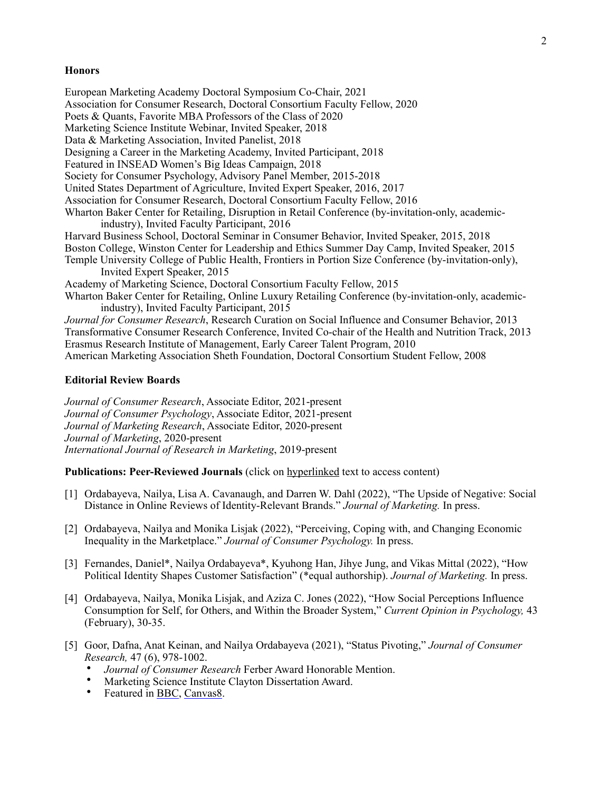## **Honors**

European Marketing Academy Doctoral Symposium Co-Chair, 2021 Association for Consumer Research, Doctoral Consortium Faculty Fellow, 2020 Poets & Quants, Favorite MBA Professors of the Class of 2020 Marketing Science Institute Webinar, Invited Speaker, 2018 Data & Marketing Association, Invited Panelist, 2018 Designing a Career in the Marketing Academy, Invited Participant, 2018 Featured in INSEAD Women's Big Ideas Campaign, 2018 Society for Consumer Psychology, Advisory Panel Member, 2015-2018 United States Department of Agriculture, Invited Expert Speaker, 2016, 2017 Association for Consumer Research, Doctoral Consortium Faculty Fellow, 2016 Wharton Baker Center for Retailing, Disruption in Retail Conference (by-invitation-only, academicindustry), Invited Faculty Participant, 2016 Harvard Business School, Doctoral Seminar in Consumer Behavior, Invited Speaker, 2015, 2018 Boston College, Winston Center for Leadership and Ethics Summer Day Camp, Invited Speaker, 2015 Temple University College of Public Health, Frontiers in Portion Size Conference (by-invitation-only), Invited Expert Speaker, 2015 Academy of Marketing Science, Doctoral Consortium Faculty Fellow, 2015 Wharton Baker Center for Retailing, Online Luxury Retailing Conference (by-invitation-only, academicindustry), Invited Faculty Participant, 2015 *Journal for Consumer Research*, Research Curation on Social Influence and Consumer Behavior, 2013 Transformative Consumer Research Conference, Invited Co-chair of the Health and Nutrition Track, 2013

Erasmus Research Institute of Management, Early Career Talent Program, 2010 American Marketing Association Sheth Foundation, Doctoral Consortium Student Fellow, 2008

### **Editorial Review Boards**

*Journal of Consumer Research*, Associate Editor, 2021-present *Journal of Consumer Psychology*, Associate Editor, 2021-present *Journal of Marketing Research*, Associate Editor, 2020-present *Journal of Marketing*, 2020-present *International Journal of Research in Marketing*, 2019-present

**Publications: Peer-Reviewed Journals** (click on hyperlinked text to access content)

- [1] Ordabayeva, Nailya, Lisa A. Cavanaugh, and Darren W. Dahl (2022), "The Upside of Negative: Social Distance in Online Reviews of Identity-Relevant Brands." *Journal of Marketing.* In press.
- [2] Ordabayeva, Nailya and Monika Lisjak (2022), "Perceiving, Coping with, and Changing Economic Inequality in the Marketplace." *Journal of Consumer Psychology.* In press.
- [3] Fernandes, Daniel\*, Nailya Ordabayeva\*, Kyuhong Han, Jihye Jung, and Vikas Mittal (2022), "How Political Identity Shapes Customer Satisfaction" (\*equal authorship). *Journal of Marketing.* In press.
- [4] Ordabayeva, Nailya, Monika Lisjak, and Aziza C. Jones (2022), "How Social Perceptions Influence Consumption for Self, for Others, and Within the Broader System," *Current Opinion in Psychology,* 43 (February), 30-35.
- [5] Goor, Dafna, Anat Keinan, and Nailya Ordabayeva (2021), "Status Pivoting," *Journal of Consumer Research,* 47 (6), 978-1002.
	- *Journal of Consumer Research* Ferber Award Honorable Mention.
	- Marketing Science Institute Clayton Dissertation Award.<br>• Featured in BBC Canyas8
	- Featured in **BBC**, [Canvas8](https://www.canvas8.com/content/2021/11/12/science-of-status-pivoting.html).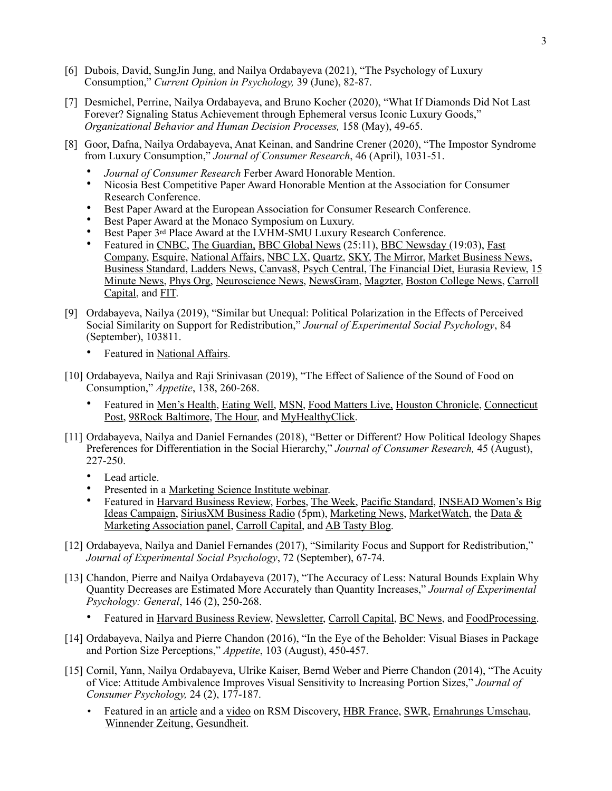- [6] Dubois, David, SungJin Jung, and Nailya Ordabayeva (2021), "The Psychology of Luxury Consumption," *Current Opinion in Psychology,* 39 (June), 82-87.
- [7] Desmichel, Perrine, Nailya Ordabayeva, and Bruno Kocher (2020), "What If Diamonds Did Not Last Forever? Signaling Status Achievement through Ephemeral versus Iconic Luxury Goods," *Organizational Behavior and Human Decision Processes,* 158 (May), 49-65.
- [8] Goor, Dafna, Nailya Ordabayeva, Anat Keinan, and Sandrine Crener (2020), "The Impostor Syndrome from Luxury Consumption," *Journal of Consumer Research*, 46 (April), 1031-51.
	- *Journal of Consumer Research* Ferber Award Honorable Mention.
	- Nicosia Best Competitive Paper Award Honorable Mention at the Association for Consumer Research Conference.
	- Best Paper Award at the European Association for Consumer Research Conference.
	- Best Paper Award at the Monaco Symposium on Luxury.
	- Best Paper 3<sup>rd</sup> Place Award at the LVHM-SMU Luxury Research Conference.
	- Featured in [CNBC,](https://www.cnbc.com/2019/12/27/study-buying-luxury-items-makes-you-feel-less-confident-and-authentic.html) [The Guardian,](https://www.theguardian.com/fashion/2020/feb/04/luxury-purchases-impostor-syndrome-shopping) [BBC Global News](https://www.bbc.co.uk/sounds/play/p082cfm5) (25:11), [BBC Newsday](https://www.bbc.co.uk/sounds/play/w172wpkq415zpk) (19:03), [Fast](https://www.fastcompany.com/90448093/this-is-why-luxury-purchases-can-make-you-feel-like-crap)  [Company,](https://www.fastcompany.com/90448093/this-is-why-luxury-purchases-can-make-you-feel-like-crap) [Esquire,](https://www.esquiremag.ph/the-good-life/pursuits/luxury-purchases-lead-to-impostor-syndrome-a00308-20200101) [National Affairs](https://www.nationalaffairs.com/blog/detail/findings-a-daily-roundup/psych), [NBC LX,](https://youtu.be/imULp_A7cAs) [Quartz,](https://qz.com/1776106/why-americans-are-embarrassed-by-luxury/) [SKY,](https://skystatement.com/why-americans-are-embarrassed-by-luxury/) [The Mirror](https://www.mirror.co.uk/news/uk-news/people-who-love-designer-gear-21154102), [Market Business News](https://marketbusinessnews.com/luxury-inauthenticity/223362/), [Business Standard](https://www.business-standard.com/article/pti-stories/luxury-purchases-may-spark-impostor-syndrome-among-consumers-study-119122200130_1.html), [Ladders News](https://www.theladders.com/career-advice/harvard-researchers-say-doing-this-regularly-can-cause-another-form-of-imposter-syndrome), [Canvas8](https://library.canvas8.com/content/2020/01/17/science-of-impostor-syndrome.html?navPath=LIBRARY--LATEST), [Psych Central](https://psychcentral.com/news/2020/01/02/luxury-items-may-elicit-imposter-syndrome-in-some-consumers/152906.html), [The Financial Diet](https://thefinancialdiet.com/luxury-consumer-imposter-syndrome/), [Eurasia Review,](https://www.eurasiareview.com/21122019-luxury-consumption-can-fuel-impostor-syndrome-among-some-buyers/) [15](https://www.15minutenews.com/article/176027031/this-is-why-luxury-purchases-can-make-you-feel-like-crap/)  [Minute News,](https://www.15minutenews.com/article/176027031/this-is-why-luxury-purchases-can-make-you-feel-like-crap/) [Phys Org,](https://phys.org/news/2019-12-luxury-consumption-fuel-impostor-syndrome.html) [Neuroscience News,](https://neurosciencenews.com/luxury-buying-impostor-syndrome-15339/) [NewsGram](https://www.newsgram.com/luxury-purchases-fuel-impostor-syndrome-among-buyers), [Magzter,](https://www.magzter.com/article/Newspaper/Millennium-Post-Delhi/Luxury-Purchases-May-Fuel-Impostor-Syndrome) [Boston College News](https://www.bc.edu/bc-web/bcnews/nation-world-society/business-and-management/luxury-purchases-can-lead-to-imposter-syndrome.html), [Carroll](https://www.bc.edu/bc-web/schools/carroll-school/news/2019/Nailya-Ordabayeva.html)  [Capital](https://www.bc.edu/bc-web/schools/carroll-school/news/2019/Nailya-Ordabayeva.html), and [FIT.](https://fit.thequint.com/health-news/luxury-consumption-imposter-syndrome)
- [9] Ordabayeva, Nailya (2019), "Similar but Unequal: Political Polarization in the Effects of Perceived Social Similarity on Support for Redistribution," *Journal of Experimental Social Psychology*, 84 (September), 103811.
	- Featured in [National Affairs.](https://www.nationalaffairs.com/blog/detail/findings-a-daily-roundup/net-worth)
- [10] Ordabayeva, Nailya and Raji Srinivasan (2019), "The Effect of Salience of the Sound of Food on Consumption," *Appetite*, 138, 260-268.
	- Featured in [Men's Health](https://www.menshealth.com/nutrition/a27166768/why-you-cant-eat-one-chip/), [Eating Well,](http://www.eatingwell.com/article/291707/crunchy-food-is-more-irresistibleheres-how-to-use-that-to-eat-healthier/) [MSN](https://www.msn.com/en-us/health/nutrition/the-science-behind-why-you-cant-eat-just-one-chip/ar-BBW05F5), [Food Matters Live,](https://www.foodmatterslive.com/news-and-comment/news/marketing-food-sound) [Houston Chronicle](https://www.chron.com/news/article/The-science-behind-why-you-can-t-eat-just-one-chip-13810147.php), [Connecticut](https://www.ctpost.com/news/article/The-science-behind-why-you-can-t-eat-just-one-chip-13810147.php)  [Post](https://www.ctpost.com/news/article/The-science-behind-why-you-can-t-eat-just-one-chip-13810147.php), [98Rock Baltimore,](https://www.98online.com/2019/05/01/the-science-behind-why-you-cant-eat-just-one-chip/) [The Hour](https://www.thehour.com/news/article/The-science-behind-why-you-can-t-eat-just-one-chip-13810147.php), and [MyHealthyClick](https://www.myhealthyclick.com/why-you-shouldnt-be-eating-a-single-chip-study-explains-it/).
- [11] Ordabayeva, Nailya and Daniel Fernandes (2018), "Better or Different? How Political Ideology Shapes Preferences for Differentiation in the Social Hierarchy," *Journal of Consumer Research,* 45 (August), 227-250.
	- Lead article.
	- Presented in a [Marketing Science Institute webinar.](http://www.msi.org/video/how-politics-can-influence-shopping-behavior/)
	- Featured in [Harvard Business Review,](https://hbr.org/2018/06/how-liberals-and-conservatives-shop-differently) [Forbes,](https://www.forbes.com/sites/pamdanziger/2018/08/13/should-a-luxury-brand-tilt-politically-right-or-left-why-it-matters/#28eefdc03457) [The Week,](http://theweek.com/articles/755274/how-politics-influence-what-buy) [Pacific Standard,](https://psmag.com/economics/politics-does-not-stop-at-the-malls-door) INSEAD Women's Big [Ideas Campaign,](https://www.insead.edu/centres/gender-initiative/50-years-50-women-50-ideas) [SiriusXM Business Radio](https://shows.pippa.io/5b3f9c96e36875fb6ffbd819/does-economic-status-determine-spending) (5pm), [Marketing News](https://www.ama.org/marketing-news/sell-to-voters-not-consumers/), [MarketWatch](https://www.marketwatch.com/story/your-voting-preferences-affect-your-taste-in-luxury-goods-2018-07-25), the [Data &](https://andthen.thedma.org/schedule/brand-shaming-the-kids-brands-vs-the-nra/)  [Marketing Association panel,](https://andthen.thedma.org/schedule/brand-shaming-the-kids-brands-vs-the-nra/) [Carroll Capital](https://www.bc.edu/content/bc-web/schools/carroll-school/news/2018/voters-have-spoken.html), and [AB Tasty Blog](https://www.abtasty.com/blog/perspectives-audience-segmentation-1/).
- [12] Ordabayeva, Nailya and Daniel Fernandes (2017), "Similarity Focus and Support for Redistribution," *Journal of Experimental Social Psychology*, 72 (September), 67-74.
- [13] Chandon, Pierre and Nailya Ordabayeva (2017), "The Accuracy of Less: Natural Bounds Explain Why Quantity Decreases are Estimated More Accurately than Quantity Increases," *Journal of Experimental Psychology: General*, 146 (2), 250-268.
	- Featured in [Harvard Business Review,](https://hbr.org/2017/03/research-customers-notice-when-products-shrink-more-than-when-they-get-bigger) [Newsletter](https://www.newsletter.co.uk/news/offbeat/shoppers-instantly-know-when-products-are-shrunk-1-7797250), [Carroll Capital](http://www.bc.edu/bc-web/bcnews/nation-world-society/business-and-management/carroll-school-study-super-sizing.html), [BC News](http://www.bc.edu/bc-web/bcnews/nation-world-society/business-and-management/carroll-school-study-super-sizing.html), and [FoodProcessing.](http://www.foodprocessing.com.au/content/prepared-food/news/making-portion-downsizing-commercially-acceptable-416424711)
- [14] Ordabayeva, Nailya and Pierre Chandon (2016), "In the Eye of the Beholder: Visual Biases in Package and Portion Size Perceptions," *Appetite*, 103 (August), 450-457.
- [15] Cornil, Yann, Nailya Ordabayeva, Ulrike Kaiser, Bernd Weber and Pierre Chandon (2014), "The Acuity of Vice: Attitude Ambivalence Improves Visual Sensitivity to Increasing Portion Sizes," *Journal of Consumer Psychology,* 24 (2), 177-187.
	- Featured in an [article](http://discovery.rsm.nl/marketing/article/12-how-to-manage-consumers-packaging-perceptions/) and a [video](http://discovery.rsm.nl/marketing/article/6-conflict-towards-food-improves-portion-size-estimation/) on RSM Discovery, [HBR France,](https://www.hbrfrance.fr/chroniques-experts/2014/11/4683-le-volume-des-portions-un-enjeu-de-taille-dans-la-lutte-contre-lobesite/) SWR, Ernahrungs Umschau, [Winnender Zeitung,](http://www.zvw.de/inhalt.welternaehrungstag-oft-wissen-wir-nicht-...l-wir-essen-und-trinken.4cc523ff-19cf-4bdd-8eda-e584e3ec7557.html) [Gesundheit](http://service.mt-online.de/mt_gesund/aktuell/gesundheit_aktuell/10206572_Zu_viel_zu_wenig_genau_richtig.html).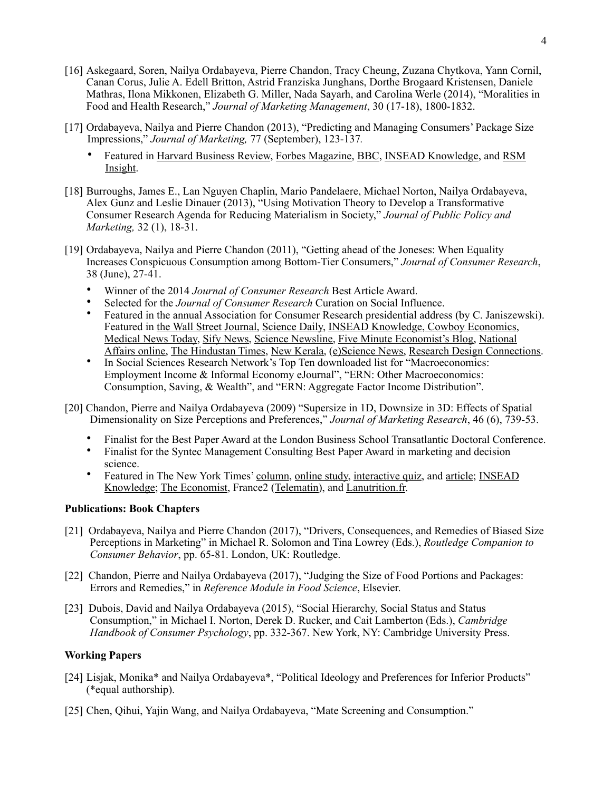- [16] Askegaard, Soren, Nailya Ordabayeva, Pierre Chandon, Tracy Cheung, Zuzana Chytkova, Yann Cornil, Canan Corus, Julie A. Edell Britton, Astrid Franziska Junghans, Dorthe Brogaard Kristensen, Daniele Mathras, Ilona Mikkonen, Elizabeth G. Miller, Nada Sayarh, and Carolina Werle (2014), "Moralities in Food and Health Research," *Journal of Marketing Management*, 30 (17-18), 1800-1832.
- [17] Ordabayeva, Nailya and Pierre Chandon (2013), "Predicting and Managing Consumers' Package Size Impressions," *Journal of Marketing,* 77 (September), 123-137*.*
	- Featured in [Harvard Business Review,](https://hbr.org/2015/11/customers-arent-very-good-at-judging-product-sizing) [Forbes Magazine](http://www.forbes.com/sites/insead/2013/11/26/food-marketers-on-a-diet/), [BBC,](http://www.bbc.com/capital/story/20180510-the-food-you-buy-really-is-shrinking) [INSEAD Knowledge,](http://knowledge.insead.edu/marketing-advertising/food-marketers-on-a-diet-2973) and RSM [Insight.](http://api.rsm.nl/publications/rsminsight/id/39ae4e90-63ee-11e3-9462-e3b156a7a865/format/pdf)
- [18] Burroughs, James E., Lan Nguyen Chaplin, Mario Pandelaere, Michael Norton, Nailya Ordabayeva, Alex Gunz and Leslie Dinauer (2013), "Using Motivation Theory to Develop a Transformative Consumer Research Agenda for Reducing Materialism in Society," *Journal of Public Policy and Marketing,* 32 (1), 18-31.
- [19] Ordabayeva, Nailya and Pierre Chandon (2011), "Getting ahead of the Joneses: When Equality Increases Conspicuous Consumption among Bottom-Tier Consumers," *Journal of Consumer Research*, 38 (June), 27-41.
	- Winner of the 2014 *Journal of Consumer Research* Best Article Award.
	- Selected for the *Journal of Consumer Research* Curation on Social Influence.
	- Featured in the annual Association for Consumer Research presidential address (by C. Janiszewski). Featured in [the Wall Street Journal,](http://online.wsj.com/article/SB10001424052748704694004576019851593242070.html?KEYWORDS=CHRISTOPHER+SHEA) [Science Daily,](http://www.sciencedaily.com/releases/2010/12/101222112235.htm) [INSEAD Knowledge](http://knowledge.insead.edu/contents/marketing-conspicuous-consumption-100312.cfm), [Cowboy Economics,](http://www.cowboyeconomics.com/research/Does_equality_increase_status_spending.asp) [Medical News Today,](http://www.medicalnewstoday.com/articles/212383.php) [Sify News](http://www.sify.com/news/does-equality-result-in-increased-status-spending-news-international-kmxr4dadejc.html), [Science Newsline](http://www.sciencenewsline.com/psychology/2010122212000057.html), [Five Minute Economist's Blog,](http://fiveminuteeconomist.wordpress.com/2010/11/09/getting-ahead-of-the-joneses/) [National](http://www.nationalaffairs.com/blog/detail/findings-a-daily-roundup/class-act)  [Affairs online,](http://www.nationalaffairs.com/blog/detail/findings-a-daily-roundup/class-act) [The Hindustan Times,](http://www.highbeam.com/doc/1P3-2220278141.html) [New Kerala,](http://www.newkerala.com/news/world/fullnews-111126.html) [\(e\)Science News,](http://esciencenews.com/articles/2010/12/22/does.equality.increase.status.spending) [Research Design Connections](http://www.researchdesignconnections.com/content/equality-and-competition-12-21-10).
	- In Social Sciences Research Network's Top Ten downloaded list for "Macroeconomics: Employment Income & Informal Economy eJournal", "ERN: Other Macroeconomics: Consumption, Saving, & Wealth", and "ERN: Aggregate Factor Income Distribution".
- [20] Chandon, Pierre and Nailya Ordabayeva (2009) "Supersize in 1D, Downsize in 3D: Effects of Spatial Dimensionality on Size Perceptions and Preferences," *Journal of Marketing Research*, 46 (6), 739-53.
	- Finalist for the Best Paper Award at the London Business School Transatlantic Doctoral Conference.<br>• Finalist for the Syntae Management Consulting Best Baper Award in marketing and decision.
	- Finalist for the Syntec Management Consulting Best Paper Award in marketing and decision science.
	- Featured in The New York Times' [column](http://tierneylab.blogs.nytimes.com/2008/12/05/how-supersizing-seduces/), [online study,](http://tierneylab.blogs.nytimes.com/2008/12/01/popcorn-science-quiz/) [interactive quiz,](http://well.blogs.nytimes.com/2012/06/21/the-well-quiz-supersize-soft-drinks/) and [article;](http://well.blogs.nytimes.com/2012/06/21/how-can-a-big-gulp-look-so-small/) [INSEAD](http://knowledge.insead.edu/SupersizingDownsizing080901.cfm)  [Knowledge](http://knowledge.insead.edu/SupersizingDownsizing080901.cfm); [The Economist,](http://faculty.insead.edu/chandon/personal_page/Documents/Article_Economist%2525252520Nov%252525252008.pdf) France2 ([Telematin\)](http://www.youtube.com/watch?v=VnV1cy35-jo), and [Lanutrition.fr.](http://www.lanutrition.fr/Pierre-Chandon-%25252525C2%25252525AB-Il-est-tr%25252525C3%25252525A8s-difficile-d-%25252525C3%25252525A9valuer-les-quantit%25252525C3%25252525A9s-%25252525C2%25252525BB-a-3272-342.html)

# **Publications: Book Chapters**

- [21] Ordabayeva, Nailya and Pierre Chandon (2017), "Drivers, Consequences, and Remedies of Biased Size Perceptions in Marketing" in Michael R. Solomon and Tina Lowrey (Eds.), *Routledge Companion to Consumer Behavior*, pp. 65-81. London, UK: Routledge.
- [22] Chandon, Pierre and Nailya Ordabayeva (2017), "Judging the Size of Food Portions and Packages: Errors and Remedies," in *Reference Module in Food Science*, Elsevier.
- [23] Dubois, David and Nailya Ordabayeva (2015), "Social Hierarchy, Social Status and Status Consumption," in Michael I. Norton, Derek D. Rucker, and Cait Lamberton (Eds.), *Cambridge Handbook of Consumer Psychology*, pp. 332-367. New York, NY: Cambridge University Press.

# **Working Papers**

- [24] Lisjak, Monika\* and Nailya Ordabayeva\*, "Political Ideology and Preferences for Inferior Products" (\*equal authorship).
- [25] Chen, Qihui, Yajin Wang, and Nailya Ordabayeva, "Mate Screening and Consumption."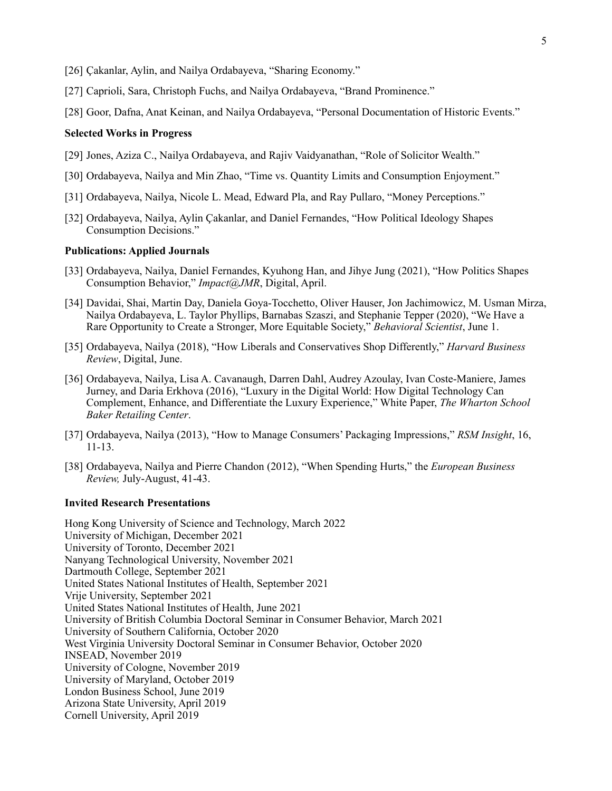- [26] Çakanlar, Aylin, and Nailya Ordabayeva, "Sharing Economy."
- [27] Caprioli, Sara, Christoph Fuchs, and Nailya Ordabayeva, "Brand Prominence."
- [28] Goor, Dafna, Anat Keinan, and Nailya Ordabayeva, "Personal Documentation of Historic Events."

## **Selected Works in Progress**

- [29] Jones, Aziza C., Nailya Ordabayeva, and Rajiv Vaidyanathan, "Role of Solicitor Wealth."
- [30] Ordabayeva, Nailya and Min Zhao, "Time vs. Quantity Limits and Consumption Enjoyment."
- [31] Ordabayeva, Nailya, Nicole L. Mead, Edward Pla, and Ray Pullaro, "Money Perceptions."
- [32] Ordabayeva, Nailya, Aylin Çakanlar, and Daniel Fernandes, "How Political Ideology Shapes Consumption Decisions."

#### **Publications: Applied Journals**

- [33] Ordabayeva, Nailya, Daniel Fernandes, Kyuhong Han, and Jihye Jung (2021), "How Politics Shapes Consumption Behavior," *Impact@JMR*, Digital, April.
- [34] Davidai, Shai, Martin Day, Daniela Goya-Tocchetto, Oliver Hauser, Jon Jachimowicz, M. Usman Mirza, Nailya Ordabayeva, L. Taylor Phyllips, Barnabas Szaszi, and Stephanie Tepper (2020), "We Have a Rare Opportunity to Create a Stronger, More Equitable Society," *Behavioral Scientist*, June 1.
- [35] Ordabayeva, Nailya (2018), "How Liberals and Conservatives Shop Differently," *Harvard Business Review*, Digital, June.
- [36] Ordabayeva, Nailya, Lisa A. Cavanaugh, Darren Dahl, Audrey Azoulay, Ivan Coste-Maniere, James Jurney, and Daria Erkhova (2016), "Luxury in the Digital World: How Digital Technology Can Complement, Enhance, and Differentiate the Luxury Experience," White Paper, *The Wharton School Baker Retailing Center*.
- [37] Ordabayeva, Nailya (2013), "How to Manage Consumers' Packaging Impressions," *RSM Insight*, 16, 11-13.
- [38] Ordabayeva, Nailya and Pierre Chandon (2012), "When Spending Hurts," the *European Business Review,* July-August, 41-43.

### **Invited Research Presentations**

Hong Kong University of Science and Technology, March 2022 University of Michigan, December 2021 University of Toronto, December 2021 Nanyang Technological University, November 2021 Dartmouth College, September 2021 United States National Institutes of Health, September 2021 Vrije University, September 2021 United States National Institutes of Health, June 2021 University of British Columbia Doctoral Seminar in Consumer Behavior, March 2021 University of Southern California, October 2020 West Virginia University Doctoral Seminar in Consumer Behavior, October 2020 INSEAD, November 2019 University of Cologne, November 2019 University of Maryland, October 2019 London Business School, June 2019 Arizona State University, April 2019 Cornell University, April 2019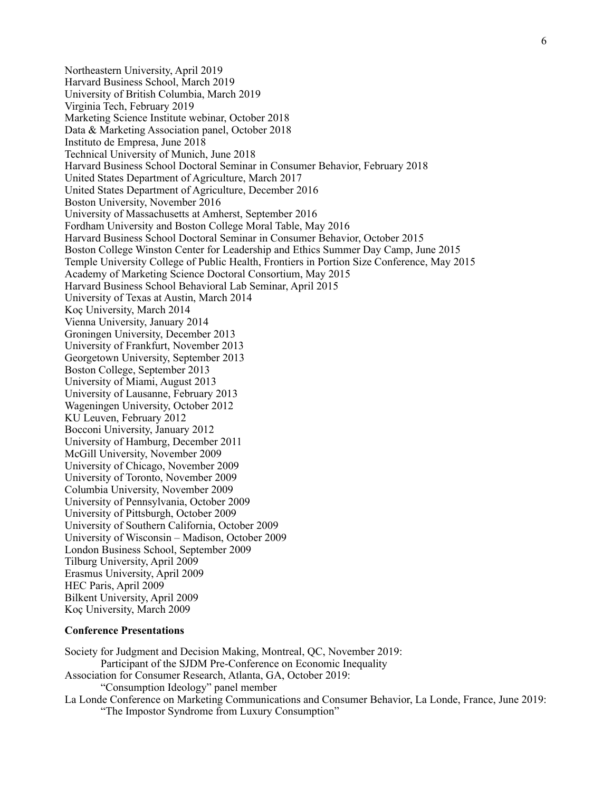Northeastern University, April 2019 Harvard Business School, March 2019 University of British Columbia, March 2019 Virginia Tech, February 2019 Marketing Science Institute webinar, October 2018 Data & Marketing Association panel, October 2018 Instituto de Empresa, June 2018 Technical University of Munich, June 2018 Harvard Business School Doctoral Seminar in Consumer Behavior, February 2018 United States Department of Agriculture, March 2017 United States Department of Agriculture, December 2016 Boston University, November 2016 University of Massachusetts at Amherst, September 2016 Fordham University and Boston College Moral Table, May 2016 Harvard Business School Doctoral Seminar in Consumer Behavior, October 2015 Boston College Winston Center for Leadership and Ethics Summer Day Camp, June 2015 Temple University College of Public Health, Frontiers in Portion Size Conference, May 2015 Academy of Marketing Science Doctoral Consortium, May 2015 Harvard Business School Behavioral Lab Seminar, April 2015 University of Texas at Austin, March 2014 Koç University, March 2014 Vienna University, January 2014 Groningen University, December 2013 University of Frankfurt, November 2013 Georgetown University, September 2013 Boston College, September 2013 University of Miami, August 2013 University of Lausanne, February 2013 Wageningen University, October 2012 KU Leuven, February 2012 Bocconi University, January 2012 University of Hamburg, December 2011 McGill University, November 2009 University of Chicago, November 2009 University of Toronto, November 2009 Columbia University, November 2009 University of Pennsylvania, October 2009 University of Pittsburgh, October 2009 University of Southern California, October 2009 University of Wisconsin – Madison, October 2009 London Business School, September 2009 Tilburg University, April 2009 Erasmus University, April 2009 HEC Paris, April 2009 Bilkent University, April 2009 Koç University, March 2009

## **Conference Presentations**

Society for Judgment and Decision Making, Montreal, QC, November 2019: Participant of the SJDM Pre-Conference on Economic Inequality Association for Consumer Research, Atlanta, GA, October 2019: "Consumption Ideology" panel member La Londe Conference on Marketing Communications and Consumer Behavior, La Londe, France, June 2019: "The Impostor Syndrome from Luxury Consumption"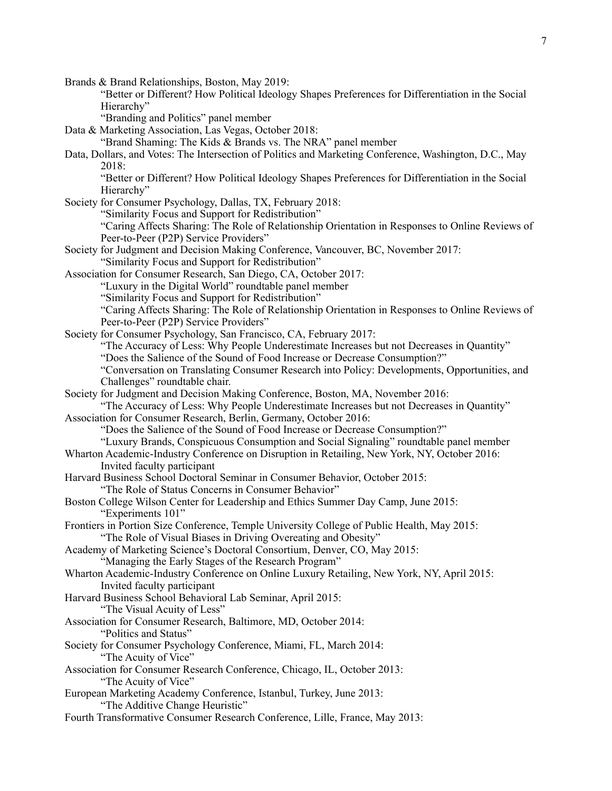Brands & Brand Relationships, Boston, May 2019:

"Better or Different? How Political Ideology Shapes Preferences for Differentiation in the Social Hierarchy"

"Branding and Politics" panel member

Data & Marketing Association, Las Vegas, October 2018:

"Brand Shaming: The Kids & Brands vs. The NRA" panel member

Data, Dollars, and Votes: The Intersection of Politics and Marketing Conference, Washington, D.C., May 2018:

"Better or Different? How Political Ideology Shapes Preferences for Differentiation in the Social Hierarchy"

Society for Consumer Psychology, Dallas, TX, February 2018: "Similarity Focus and Support for Redistribution"

"Caring Affects Sharing: The Role of Relationship Orientation in Responses to Online Reviews of Peer-to-Peer (P2P) Service Providers"

Society for Judgment and Decision Making Conference, Vancouver, BC, November 2017: "Similarity Focus and Support for Redistribution"

Association for Consumer Research, San Diego, CA, October 2017: "Luxury in the Digital World" roundtable panel member

"Similarity Focus and Support for Redistribution"

"Caring Affects Sharing: The Role of Relationship Orientation in Responses to Online Reviews of Peer-to-Peer (P2P) Service Providers"

Society for Consumer Psychology, San Francisco, CA, February 2017:

"The Accuracy of Less: Why People Underestimate Increases but not Decreases in Quantity" "Does the Salience of the Sound of Food Increase or Decrease Consumption?"

"Conversation on Translating Consumer Research into Policy: Developments, Opportunities, and Challenges" roundtable chair.

Society for Judgment and Decision Making Conference, Boston, MA, November 2016:

"The Accuracy of Less: Why People Underestimate Increases but not Decreases in Quantity" Association for Consumer Research, Berlin, Germany, October 2016:

"Does the Salience of the Sound of Food Increase or Decrease Consumption?"

"Luxury Brands, Conspicuous Consumption and Social Signaling" roundtable panel member

Wharton Academic-Industry Conference on Disruption in Retailing, New York, NY, October 2016:

Invited faculty participant Harvard Business School Doctoral Seminar in Consumer Behavior, October 2015:

"The Role of Status Concerns in Consumer Behavior"

Boston College Wilson Center for Leadership and Ethics Summer Day Camp, June 2015: "Experiments 101"

Frontiers in Portion Size Conference, Temple University College of Public Health, May 2015: "The Role of Visual Biases in Driving Overeating and Obesity"

Academy of Marketing Science's Doctoral Consortium, Denver, CO, May 2015:

"Managing the Early Stages of the Research Program"

Wharton Academic-Industry Conference on Online Luxury Retailing, New York, NY, April 2015: Invited faculty participant

Harvard Business School Behavioral Lab Seminar, April 2015:

"The Visual Acuity of Less"

Association for Consumer Research, Baltimore, MD, October 2014: "Politics and Status"

Society for Consumer Psychology Conference, Miami, FL, March 2014: "The Acuity of Vice"

Association for Consumer Research Conference, Chicago, IL, October 2013: "The Acuity of Vice"

European Marketing Academy Conference, Istanbul, Turkey, June 2013: "The Additive Change Heuristic"

Fourth Transformative Consumer Research Conference, Lille, France, May 2013: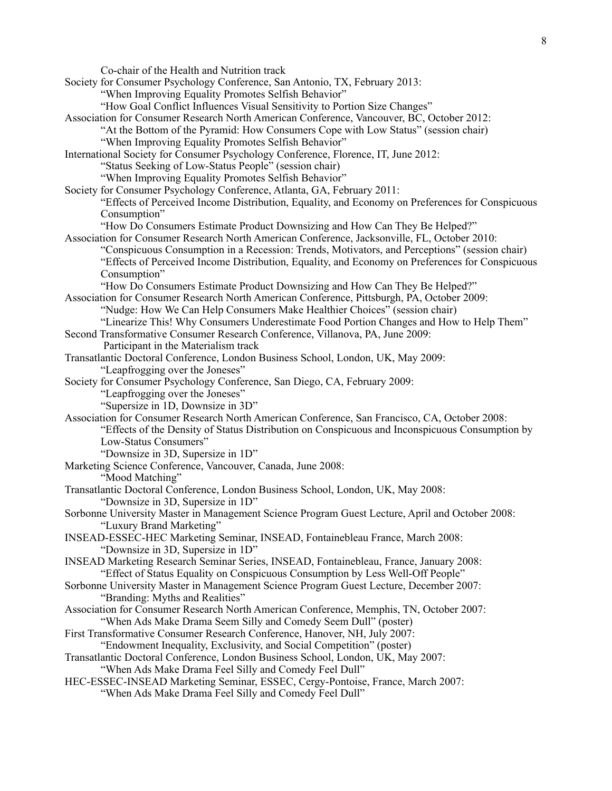Co-chair of the Health and Nutrition track

Society for Consumer Psychology Conference, San Antonio, TX, February 2013:

"When Improving Equality Promotes Selfish Behavior"

- "How Goal Conflict Influences Visual Sensitivity to Portion Size Changes"
- Association for Consumer Research North American Conference, Vancouver, BC, October 2012:
	- "At the Bottom of the Pyramid: How Consumers Cope with Low Status" (session chair)
		- "When Improving Equality Promotes Selfish Behavior"
- International Society for Consumer Psychology Conference, Florence, IT, June 2012:
	- "Status Seeking of Low-Status People" (session chair)
	- "When Improving Equality Promotes Selfish Behavior"
- Society for Consumer Psychology Conference, Atlanta, GA, February 2011:
	- "Effects of Perceived Income Distribution, Equality, and Economy on Preferences for Conspicuous Consumption"
		- "How Do Consumers Estimate Product Downsizing and How Can They Be Helped?"
- Association for Consumer Research North American Conference, Jacksonville, FL, October 2010: "Conspicuous Consumption in a Recession: Trends, Motivators, and Perceptions" (session chair) "Effects of Perceived Income Distribution, Equality, and Economy on Preferences for Conspicuous
	- Consumption"

"How Do Consumers Estimate Product Downsizing and How Can They Be Helped?"

- Association for Consumer Research North American Conference, Pittsburgh, PA, October 2009: "Nudge: How We Can Help Consumers Make Healthier Choices" (session chair)
	- "Linearize This! Why Consumers Underestimate Food Portion Changes and How to Help Them"
- Second Transformative Consumer Research Conference, Villanova, PA, June 2009:

Participant in the Materialism track

- Transatlantic Doctoral Conference, London Business School, London, UK, May 2009: "Leapfrogging over the Joneses"
- Society for Consumer Psychology Conference, San Diego, CA, February 2009:
	- "Leapfrogging over the Joneses"
	- "Supersize in 1D, Downsize in 3D"
- Association for Consumer Research North American Conference, San Francisco, CA, October 2008: "Effects of the Density of Status Distribution on Conspicuous and Inconspicuous Consumption by Low-Status Consumers"
	- "Downsize in 3D, Supersize in 1D"
- Marketing Science Conference, Vancouver, Canada, June 2008:
	- "Mood Matching"
- Transatlantic Doctoral Conference, London Business School, London, UK, May 2008: "Downsize in 3D, Supersize in 1D"
- Sorbonne University Master in Management Science Program Guest Lecture, April and October 2008: "Luxury Brand Marketing"
- INSEAD-ESSEC-HEC Marketing Seminar, INSEAD, Fontainebleau France, March 2008: "Downsize in 3D, Supersize in 1D"
- INSEAD Marketing Research Seminar Series, INSEAD, Fontainebleau, France, January 2008: "Effect of Status Equality on Conspicuous Consumption by Less Well-Off People"
- Sorbonne University Master in Management Science Program Guest Lecture, December 2007: "Branding: Myths and Realities"
- Association for Consumer Research North American Conference, Memphis, TN, October 2007: "When Ads Make Drama Seem Silly and Comedy Seem Dull" (poster)
- First Transformative Consumer Research Conference, Hanover, NH, July 2007:
	- "Endowment Inequality, Exclusivity, and Social Competition" (poster)
- Transatlantic Doctoral Conference, London Business School, London, UK, May 2007: "When Ads Make Drama Feel Silly and Comedy Feel Dull"
- HEC-ESSEC-INSEAD Marketing Seminar, ESSEC, Cergy-Pontoise, France, March 2007:
	- "When Ads Make Drama Feel Silly and Comedy Feel Dull"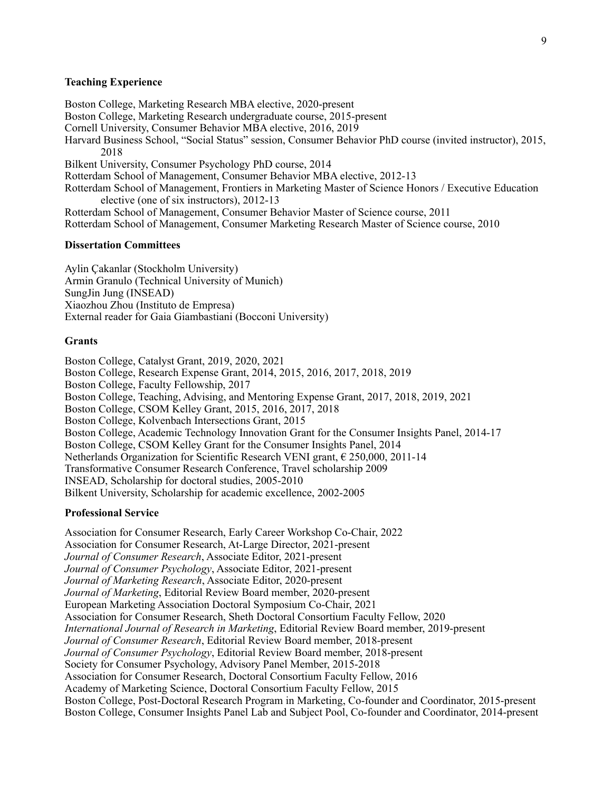## **Teaching Experience**

Boston College, Marketing Research MBA elective, 2020-present Boston College, Marketing Research undergraduate course, 2015-present Cornell University, Consumer Behavior MBA elective, 2016, 2019 Harvard Business School, "Social Status" session, Consumer Behavior PhD course (invited instructor), 2015, 2018 Bilkent University, Consumer Psychology PhD course, 2014 Rotterdam School of Management, Consumer Behavior MBA elective, 2012-13 Rotterdam School of Management, Frontiers in Marketing Master of Science Honors / Executive Education elective (one of six instructors), 2012-13 Rotterdam School of Management, Consumer Behavior Master of Science course, 2011 Rotterdam School of Management, Consumer Marketing Research Master of Science course, 2010

## **Dissertation Committees**

Aylin Çakanlar (Stockholm University) Armin Granulo (Technical University of Munich) SungJin Jung (INSEAD) Xiaozhou Zhou (Instituto de Empresa) External reader for Gaia Giambastiani (Bocconi University)

#### **Grants**

Boston College, Catalyst Grant, 2019, 2020, 2021 Boston College, Research Expense Grant, 2014, 2015, 2016, 2017, 2018, 2019 Boston College, Faculty Fellowship, 2017 Boston College, Teaching, Advising, and Mentoring Expense Grant, 2017, 2018, 2019, 2021 Boston College, CSOM Kelley Grant, 2015, 2016, 2017, 2018 Boston College, Kolvenbach Intersections Grant, 2015 Boston College, Academic Technology Innovation Grant for the Consumer Insights Panel, 2014-17 Boston College, CSOM Kelley Grant for the Consumer Insights Panel, 2014 Netherlands Organization for Scientific Research VENI grant, € 250,000, 2011-14 Transformative Consumer Research Conference, Travel scholarship 2009 INSEAD, Scholarship for doctoral studies, 2005-2010 Bilkent University, Scholarship for academic excellence, 2002-2005

### **Professional Service**

Association for Consumer Research, Early Career Workshop Co-Chair, 2022 Association for Consumer Research, At-Large Director, 2021-present *Journal of Consumer Research*, Associate Editor, 2021-present *Journal of Consumer Psychology*, Associate Editor, 2021-present *Journal of Marketing Research*, Associate Editor, 2020-present *Journal of Marketing*, Editorial Review Board member, 2020-present European Marketing Association Doctoral Symposium Co-Chair, 2021 Association for Consumer Research, Sheth Doctoral Consortium Faculty Fellow, 2020 *International Journal of Research in Marketing*, Editorial Review Board member, 2019-present *Journal of Consumer Research*, Editorial Review Board member, 2018-present *Journal of Consumer Psychology*, Editorial Review Board member, 2018-present Society for Consumer Psychology, Advisory Panel Member, 2015-2018 Association for Consumer Research, Doctoral Consortium Faculty Fellow, 2016 Academy of Marketing Science, Doctoral Consortium Faculty Fellow, 2015 Boston College, Post-Doctoral Research Program in Marketing, Co-founder and Coordinator, 2015-present Boston College, Consumer Insights Panel Lab and Subject Pool, Co-founder and Coordinator, 2014-present